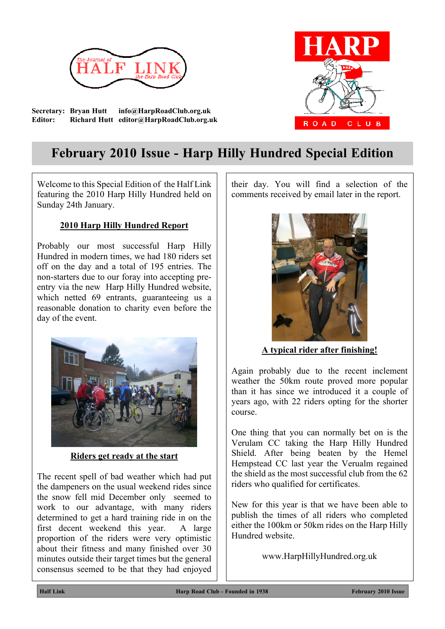

**Secretary: Bryan Hutt info@HarpRoadClub.org.uk Editor: Richard Hutt editor@HarpRoadClub.org.uk**

# CLUB **ROAD**

# **February 2010 Issue - Harp Hilly Hundred Special Edition**

Welcome to this Special Edition of the Half Link featuring the 2010 Harp Hilly Hundred held on Sunday 24th January.

# **2010 Harp Hilly Hundred Report**

Probably our most successful Harp Hilly Hundred in modern times, we had 180 riders set off on the day and a total of 195 entries. The non-starters due to our foray into accepting preentry via the new Harp Hilly Hundred website, which netted 69 entrants, guaranteeing us a reasonable donation to charity even before the day of the event.



**Riders get ready at the start**

The recent spell of bad weather which had put the dampeners on the usual weekend rides since the snow fell mid December only seemed to work to our advantage, with many riders determined to get a hard training ride in on the first decent weekend this year. A large proportion of the riders were very optimistic about their fitness and many finished over 30 minutes outside their target times but the general consensus seemed to be that they had enjoyed their day. You will find a selection of the comments received by email later in the report.



**A typical rider after finishing!**

Again probably due to the recent inclement weather the 50km route proved more popular than it has since we introduced it a couple of years ago, with 22 riders opting for the shorter course.

One thing that you can normally bet on is the Verulam CC taking the Harp Hilly Hundred Shield. After being beaten by the Hemel Hempstead CC last year the Verualm regained the shield as the most successful club from the 62 riders who qualified for certificates.

New for this year is that we have been able to publish the times of all riders who completed either the 100km or 50km rides on the Harp Hilly Hundred website.

www.HarpHillyHundred.org.uk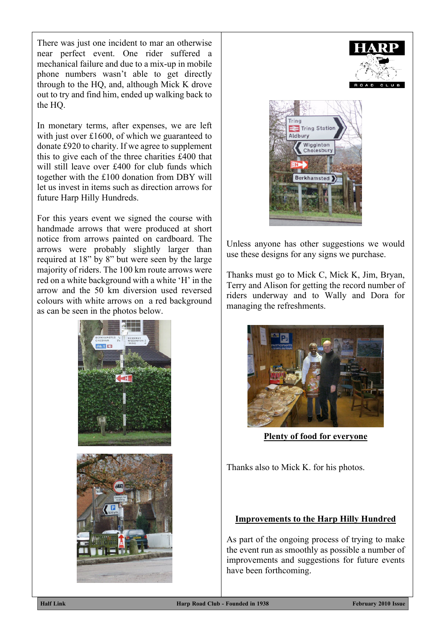There was just one incident to mar an otherwise near perfect event. One rider suffered a mechanical failure and due to a mix-up in mobile phone numbers wasn't able to get directly through to the HQ, and, although Mick K drove out to try and find him, ended up walking back to the HQ.

In monetary terms, after expenses, we are left with just over  $£1600$ , of which we guaranteed to donate £920 to charity. If we agree to supplement this to give each of the three charities £400 that will still leave over £400 for club funds which together with the £100 donation from DBY will let us invest in items such as direction arrows for future Harp Hilly Hundreds.

For this years event we signed the course with handmade arrows that were produced at short notice from arrows painted on cardboard. The arrows were probably slightly larger than required at 18" by 8" but were seen by the large majority of riders. The 100 km route arrows were red on a white background with a white 'H' in the arrow and the 50 km diversion used reversed colours with white arrows on a red background as can be seen in the photos below.





Unless anyone has other suggestions we would use these designs for any signs we purchase.

Thanks must go to Mick C, Mick K, Jim, Bryan, Terry and Alison for getting the record number of riders underway and to Wally and Dora for managing the refreshments.



**Plenty of food for everyone**

Thanks also to Mick K. for his photos.

## **Improvements to the Harp Hilly Hundred**

As part of the ongoing process of trying to make the event run as smoothly as possible a number of improvements and suggestions for future events have been forthcoming.